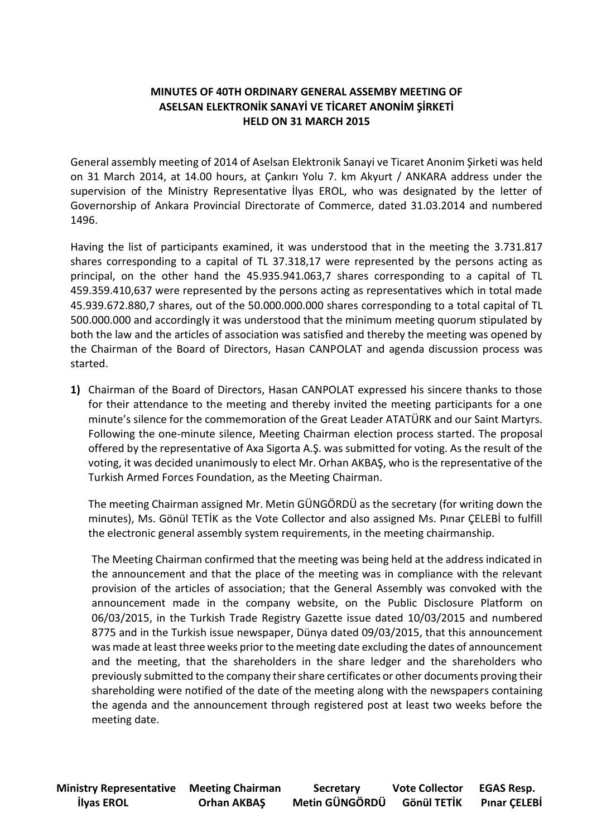## **MINUTES OF 40TH ORDINARY GENERAL ASSEMBY MEETING OF ASELSAN ELEKTRONİK SANAYİ VE TİCARET ANONİM ŞİRKETİ HELD ON 31 MARCH 2015**

General assembly meeting of 2014 of Aselsan Elektronik Sanayi ve Ticaret Anonim Şirketi was held on 31 March 2014, at 14.00 hours, at Çankırı Yolu 7. km Akyurt / ANKARA address under the supervision of the Ministry Representative İlyas EROL, who was designated by the letter of Governorship of Ankara Provincial Directorate of Commerce, dated 31.03.2014 and numbered 1496.

Having the list of participants examined, it was understood that in the meeting the 3.731.817 shares corresponding to a capital of TL 37.318,17 were represented by the persons acting as principal, on the other hand the 45.935.941.063,7 shares corresponding to a capital of TL 459.359.410,637 were represented by the persons acting as representatives which in total made 45.939.672.880,7 shares, out of the 50.000.000.000 shares corresponding to a total capital of TL 500.000.000 and accordingly it was understood that the minimum meeting quorum stipulated by both the law and the articles of association was satisfied and thereby the meeting was opened by the Chairman of the Board of Directors, Hasan CANPOLAT and agenda discussion process was started.

**1)** Chairman of the Board of Directors, Hasan CANPOLAT expressed his sincere thanks to those for their attendance to the meeting and thereby invited the meeting participants for a one minute's silence for the commemoration of the Great Leader ATATÜRK and our Saint Martyrs. Following the one-minute silence, Meeting Chairman election process started. The proposal offered by the representative of Axa Sigorta A.Ş. was submitted for voting. As the result of the voting, it was decided unanimously to elect Mr. Orhan AKBAŞ, who is the representative of the Turkish Armed Forces Foundation, as the Meeting Chairman.

The meeting Chairman assigned Mr. Metin GÜNGÖRDÜ as the secretary (for writing down the minutes), Ms. Gönül TETİK as the Vote Collector and also assigned Ms. Pınar ÇELEBİ to fulfill the electronic general assembly system requirements, in the meeting chairmanship.

The Meeting Chairman confirmed that the meeting was being held at the address indicated in the announcement and that the place of the meeting was in compliance with the relevant provision of the articles of association; that the General Assembly was convoked with the announcement made in the company website, on the Public Disclosure Platform on 06/03/2015, in the Turkish Trade Registry Gazette issue dated 10/03/2015 and numbered 8775 and in the Turkish issue newspaper, Dünya dated 09/03/2015, that this announcement was made at least three weeks prior to the meeting date excluding the dates of announcement and the meeting, that the shareholders in the share ledger and the shareholders who previously submitted to the company their share certificates or other documents proving their shareholding were notified of the date of the meeting along with the newspapers containing the agenda and the announcement through registered post at least two weeks before the meeting date.

**Ministry Representative Meeting Chairman Secretary Vote Collector EGAS Resp. İlyas EROL Orhan AKBAŞ Metin GÜNGÖRDÜ Gönül TETİK Pınar ÇELEBİ**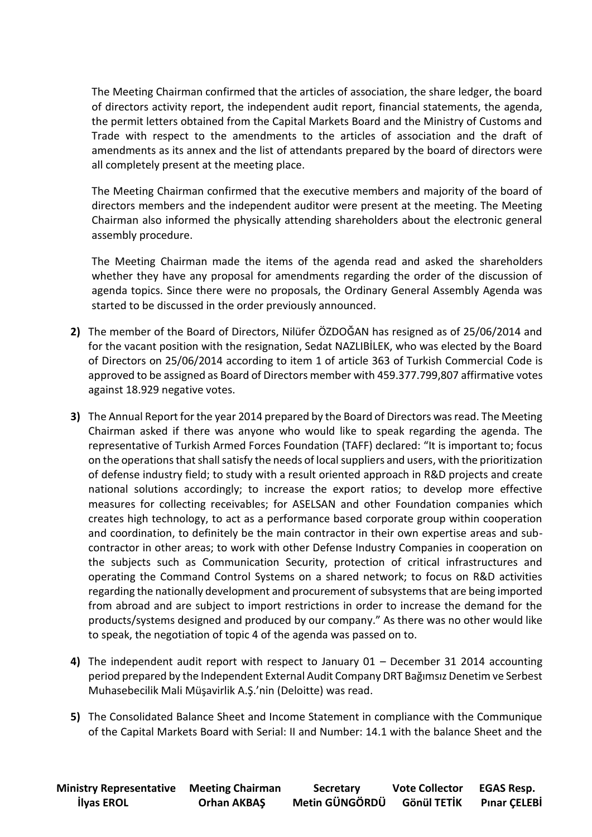The Meeting Chairman confirmed that the articles of association, the share ledger, the board of directors activity report, the independent audit report, financial statements, the agenda, the permit letters obtained from the Capital Markets Board and the Ministry of Customs and Trade with respect to the amendments to the articles of association and the draft of amendments as its annex and the list of attendants prepared by the board of directors were all completely present at the meeting place.

The Meeting Chairman confirmed that the executive members and majority of the board of directors members and the independent auditor were present at the meeting. The Meeting Chairman also informed the physically attending shareholders about the electronic general assembly procedure.

The Meeting Chairman made the items of the agenda read and asked the shareholders whether they have any proposal for amendments regarding the order of the discussion of agenda topics. Since there were no proposals, the Ordinary General Assembly Agenda was started to be discussed in the order previously announced.

- **2)** The member of the Board of Directors, Nilüfer ÖZDOĞAN has resigned as of 25/06/2014 and for the vacant position with the resignation, Sedat NAZLIBİLEK, who was elected by the Board of Directors on 25/06/2014 according to item 1 of article 363 of Turkish Commercial Code is approved to be assigned as Board of Directors member with 459.377.799,807 affirmative votes against 18.929 negative votes.
- **3)** The Annual Report for the year 2014 prepared by the Board of Directors was read. The Meeting Chairman asked if there was anyone who would like to speak regarding the agenda. The representative of Turkish Armed Forces Foundation (TAFF) declared: "It is important to; focus on the operations that shall satisfy the needs of local suppliers and users, with the prioritization of defense industry field; to study with a result oriented approach in R&D projects and create national solutions accordingly; to increase the export ratios; to develop more effective measures for collecting receivables; for ASELSAN and other Foundation companies which creates high technology, to act as a performance based corporate group within cooperation and coordination, to definitely be the main contractor in their own expertise areas and subcontractor in other areas; to work with other Defense Industry Companies in cooperation on the subjects such as Communication Security, protection of critical infrastructures and operating the Command Control Systems on a shared network; to focus on R&D activities regarding the nationally development and procurement of subsystems that are being imported from abroad and are subject to import restrictions in order to increase the demand for the products/systems designed and produced by our company." As there was no other would like to speak, the negotiation of topic 4 of the agenda was passed on to.
- **4)** The independent audit report with respect to January 01 December 31 2014 accounting period prepared by the Independent External Audit Company DRT Bağımsız Denetim ve Serbest Muhasebecilik Mali Müşavirlik A.Ş.'nin (Deloitte) was read.
- **5)** The Consolidated Balance Sheet and Income Statement in compliance with the Communique of the Capital Markets Board with Serial: II and Number: 14.1 with the balance Sheet and the

| <b>Ministry Representative Meeting Chairman</b> |                    | <b>Secretary</b> | <b>Vote Collector</b> | <b>EGAS Resp.</b>   |
|-------------------------------------------------|--------------------|------------------|-----------------------|---------------------|
| <b>İlyas EROL</b>                               | <b>Orhan AKBAŞ</b> | Metin GÜNGÖRDÜ   | Gönül TETİK           | <b>Pinar CELEBİ</b> |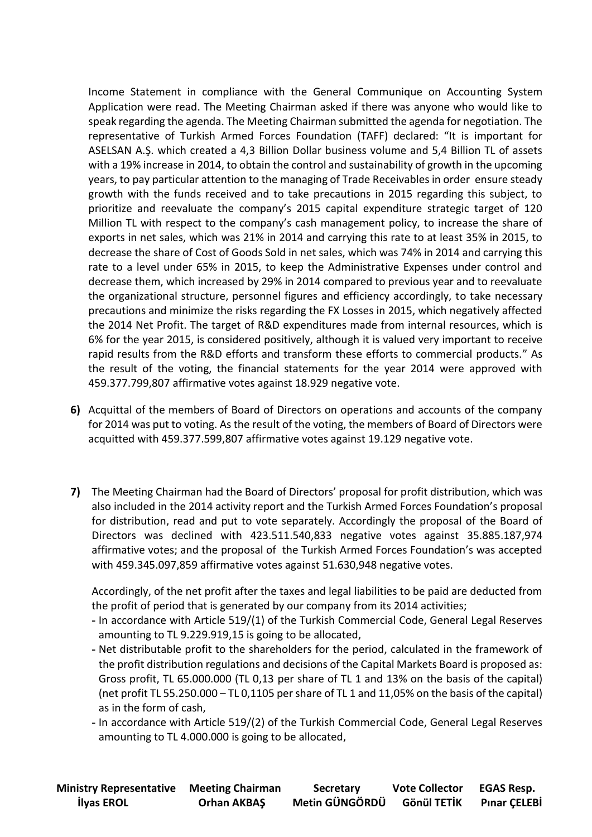Income Statement in compliance with the General Communique on Accounting System Application were read. The Meeting Chairman asked if there was anyone who would like to speak regarding the agenda. The Meeting Chairman submitted the agenda for negotiation. The representative of Turkish Armed Forces Foundation (TAFF) declared: "It is important for ASELSAN A.Ş. which created a 4,3 Billion Dollar business volume and 5,4 Billion TL of assets with a 19% increase in 2014, to obtain the control and sustainability of growth in the upcoming years, to pay particular attention to the managing of Trade Receivables in order ensure steady growth with the funds received and to take precautions in 2015 regarding this subject, to prioritize and reevaluate the company's 2015 capital expenditure strategic target of 120 Million TL with respect to the company's cash management policy, to increase the share of exports in net sales, which was 21% in 2014 and carrying this rate to at least 35% in 2015, to decrease the share of Cost of Goods Sold in net sales, which was 74% in 2014 and carrying this rate to a level under 65% in 2015, to keep the Administrative Expenses under control and decrease them, which increased by 29% in 2014 compared to previous year and to reevaluate the organizational structure, personnel figures and efficiency accordingly, to take necessary precautions and minimize the risks regarding the FX Losses in 2015, which negatively affected the 2014 Net Profit. The target of R&D expenditures made from internal resources, which is 6% for the year 2015, is considered positively, although it is valued very important to receive rapid results from the R&D efforts and transform these efforts to commercial products." As the result of the voting, the financial statements for the year 2014 were approved with 459.377.799,807 affirmative votes against 18.929 negative vote.

- **6)** Acquittal of the members of Board of Directors on operations and accounts of the company for 2014 was put to voting. As the result of the voting, the members of Board of Directors were acquitted with 459.377.599,807 affirmative votes against 19.129 negative vote.
- **7)** The Meeting Chairman had the Board of Directors' proposal for profit distribution, which was also included in the 2014 activity report and the Turkish Armed Forces Foundation's proposal for distribution, read and put to vote separately. Accordingly the proposal of the Board of Directors was declined with 423.511.540,833 negative votes against 35.885.187,974 affirmative votes; and the proposal of the Turkish Armed Forces Foundation's was accepted with 459.345.097,859 affirmative votes against 51.630,948 negative votes.

Accordingly, of the net profit after the taxes and legal liabilities to be paid are deducted from the profit of period that is generated by our company from its 2014 activities;

- **-** In accordance with Article 519/(1) of the Turkish Commercial Code, General Legal Reserves amounting to TL 9.229.919,15 is going to be allocated,
- **-** Net distributable profit to the shareholders for the period, calculated in the framework of the profit distribution regulations and decisions of the Capital Markets Board is proposed as: Gross profit, TL 65.000.000 (TL 0,13 per share of TL 1 and 13% on the basis of the capital) (net profit TL 55.250.000 – TL 0,1105 per share of TL 1 and 11,05% on the basis of the capital) as in the form of cash,
- **-** In accordance with Article 519/(2) of the Turkish Commercial Code, General Legal Reserves amounting to TL 4.000.000 is going to be allocated,

| <b>Ministry Representative Meeting Chairman</b> |                    | <b>Secretary</b> | <b>Vote Collector</b> | <b>EGAS Resp.</b>   |
|-------------------------------------------------|--------------------|------------------|-----------------------|---------------------|
| <b>İlyas EROL</b>                               | <b>Orhan AKBAŞ</b> | Metin GÜNGÖRDÜ   | Gönül TETİK           | <b>Pinar CELEBİ</b> |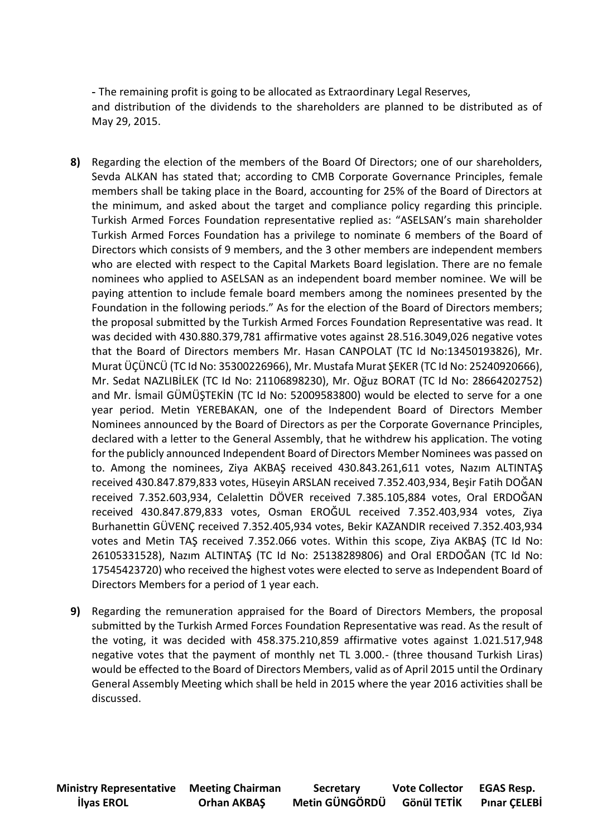**-** The remaining profit is going to be allocated as Extraordinary Legal Reserves, and distribution of the dividends to the shareholders are planned to be distributed as of May 29, 2015.

- **8)** Regarding the election of the members of the Board Of Directors; one of our shareholders, Sevda ALKAN has stated that; according to CMB Corporate Governance Principles, female members shall be taking place in the Board, accounting for 25% of the Board of Directors at the minimum, and asked about the target and compliance policy regarding this principle. Turkish Armed Forces Foundation representative replied as: "ASELSAN's main shareholder Turkish Armed Forces Foundation has a privilege to nominate 6 members of the Board of Directors which consists of 9 members, and the 3 other members are independent members who are elected with respect to the Capital Markets Board legislation. There are no female nominees who applied to ASELSAN as an independent board member nominee. We will be paying attention to include female board members among the nominees presented by the Foundation in the following periods." As for the election of the Board of Directors members; the proposal submitted by the Turkish Armed Forces Foundation Representative was read. It was decided with 430.880.379,781 affirmative votes against 28.516.3049,026 negative votes that the Board of Directors members Mr. Hasan CANPOLAT (TC Id No:13450193826), Mr. Murat ÜÇÜNCÜ (TC Id No: 35300226966), Mr. Mustafa Murat ŞEKER (TC Id No: 25240920666), Mr. Sedat NAZLIBİLEK (TC Id No: 21106898230), Mr. Oğuz BORAT (TC Id No: 28664202752) and Mr. İsmail GÜMÜŞTEKİN (TC Id No: 52009583800) would be elected to serve for a one year period. Metin YEREBAKAN, one of the Independent Board of Directors Member Nominees announced by the Board of Directors as per the Corporate Governance Principles, declared with a letter to the General Assembly, that he withdrew his application. The voting for the publicly announced Independent Board of Directors Member Nominees was passed on to. Among the nominees, Ziya AKBAŞ received 430.843.261,611 votes, Nazım ALTINTAŞ received 430.847.879,833 votes, Hüseyin ARSLAN received 7.352.403,934, Beşir Fatih DOĞAN received 7.352.603,934, Celalettin DÖVER received 7.385.105,884 votes, Oral ERDOĞAN received 430.847.879,833 votes, Osman EROĞUL received 7.352.403,934 votes, Ziya Burhanettin GÜVENÇ received 7.352.405,934 votes, Bekir KAZANDIR received 7.352.403,934 votes and Metin TAŞ received 7.352.066 votes. Within this scope, Ziya AKBAŞ (TC Id No: 26105331528), Nazım ALTINTAŞ (TC Id No: 25138289806) and Oral ERDOĞAN (TC Id No: 17545423720) who received the highest votes were elected to serve as Independent Board of Directors Members for a period of 1 year each.
- **9)** Regarding the remuneration appraised for the Board of Directors Members, the proposal submitted by the Turkish Armed Forces Foundation Representative was read. As the result of the voting, it was decided with 458.375.210,859 affirmative votes against 1.021.517,948 negative votes that the payment of monthly net TL 3.000.- (three thousand Turkish Liras) would be effected to the Board of Directors Members, valid as of April 2015 until the Ordinary General Assembly Meeting which shall be held in 2015 where the year 2016 activities shall be discussed.

**Ministry Representative Meeting Chairman Secretary Vote Collector EGAS Resp. İlyas EROL Orhan AKBAŞ Metin GÜNGÖRDÜ Gönül TETİK Pınar ÇELEBİ**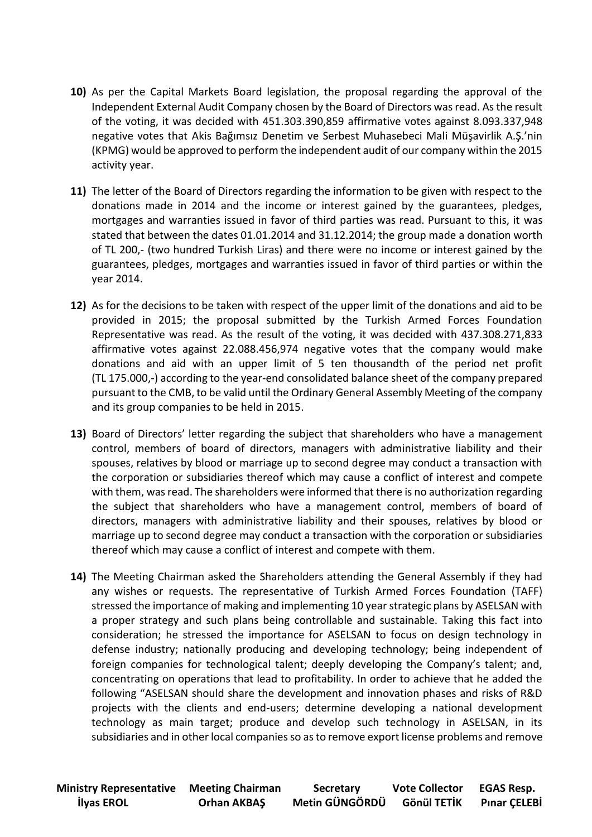- **10)** As per the Capital Markets Board legislation, the proposal regarding the approval of the Independent External Audit Company chosen by the Board of Directors was read. As the result of the voting, it was decided with 451.303.390,859 affirmative votes against 8.093.337,948 negative votes that Akis Bağımsız Denetim ve Serbest Muhasebeci Mali Müşavirlik A.Ş.'nin (KPMG) would be approved to perform the independent audit of our company within the 2015 activity year.
- **11)** The letter of the Board of Directors regarding the information to be given with respect to the donations made in 2014 and the income or interest gained by the guarantees, pledges, mortgages and warranties issued in favor of third parties was read. Pursuant to this, it was stated that between the dates 01.01.2014 and 31.12.2014; the group made a donation worth of TL 200,- (two hundred Turkish Liras) and there were no income or interest gained by the guarantees, pledges, mortgages and warranties issued in favor of third parties or within the year 2014.
- **12)** As for the decisions to be taken with respect of the upper limit of the donations and aid to be provided in 2015; the proposal submitted by the Turkish Armed Forces Foundation Representative was read. As the result of the voting, it was decided with 437.308.271,833 affirmative votes against 22.088.456,974 negative votes that the company would make donations and aid with an upper limit of 5 ten thousandth of the period net profit (TL 175.000,-) according to the year-end consolidated balance sheet of the company prepared pursuant to the CMB, to be valid until the Ordinary General Assembly Meeting of the company and its group companies to be held in 2015.
- **13)** Board of Directors' letter regarding the subject that shareholders who have a management control, members of board of directors, managers with administrative liability and their spouses, relatives by blood or marriage up to second degree may conduct a transaction with the corporation or subsidiaries thereof which may cause a conflict of interest and compete with them, was read. The shareholders were informed that there is no authorization regarding the subject that shareholders who have a management control, members of board of directors, managers with administrative liability and their spouses, relatives by blood or marriage up to second degree may conduct a transaction with the corporation or subsidiaries thereof which may cause a conflict of interest and compete with them.
- **14)** The Meeting Chairman asked the Shareholders attending the General Assembly if they had any wishes or requests. The representative of Turkish Armed Forces Foundation (TAFF) stressed the importance of making and implementing 10 year strategic plans by ASELSAN with a proper strategy and such plans being controllable and sustainable. Taking this fact into consideration; he stressed the importance for ASELSAN to focus on design technology in defense industry; nationally producing and developing technology; being independent of foreign companies for technological talent; deeply developing the Company's talent; and, concentrating on operations that lead to profitability. In order to achieve that he added the following "ASELSAN should share the development and innovation phases and risks of R&D projects with the clients and end-users; determine developing a national development technology as main target; produce and develop such technology in ASELSAN, in its subsidiaries and in other local companies so as to remove export license problems and remove

| <b>Ministry Representative Meeting Chairman</b> |                    | <b>Secretary</b> | <b>Vote Collector</b> | <b>EGAS Resp.</b>   |
|-------------------------------------------------|--------------------|------------------|-----------------------|---------------------|
| <b>İlyas EROL</b>                               | <b>Orhan AKBAŞ</b> | Metin GÜNGÖRDÜ   | Gönül TETİK           | <b>Pinar CELEBİ</b> |